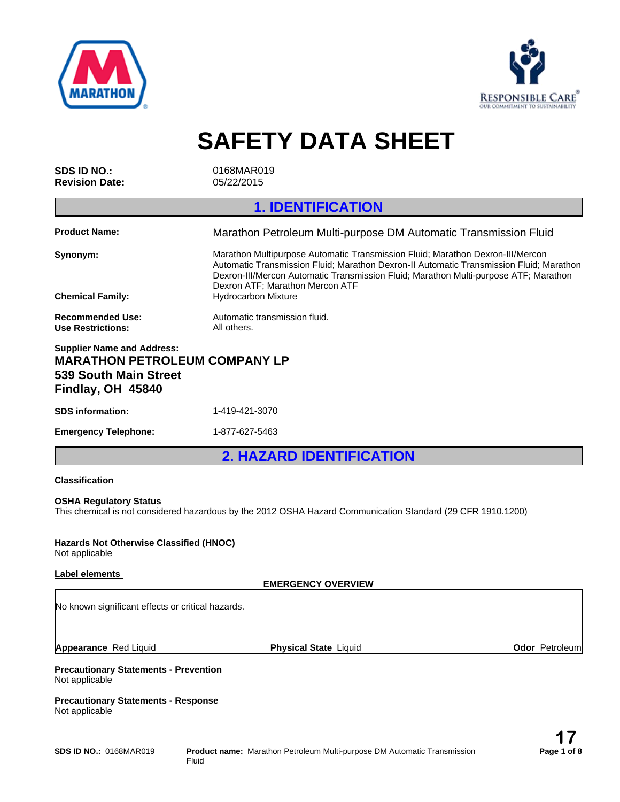



**SAFETY DATA SHEET**

**SDS ID NO.:** 0168MAR019 **Revision Date:** 05/22/2015

**1. IDENTIFICATION**

| <b>Product Name:</b>                                                      | Marathon Petroleum Multi-purpose DM Automatic Transmission Fluid                                                                                                                                                                                                                                     |
|---------------------------------------------------------------------------|------------------------------------------------------------------------------------------------------------------------------------------------------------------------------------------------------------------------------------------------------------------------------------------------------|
| Synonym:                                                                  | Marathon Multipurpose Automatic Transmission Fluid: Marathon Dexron-III/Mercon<br>Automatic Transmission Fluid; Marathon Dexron-II Automatic Transmission Fluid; Marathon<br>Dexron-III/Mercon Automatic Transmission Fluid; Marathon Multi-purpose ATF; Marathon<br>Dexron ATF; Marathon Mercon ATF |
| <b>Chemical Family:</b>                                                   | <b>Hydrocarbon Mixture</b>                                                                                                                                                                                                                                                                           |
| <b>Recommended Use:</b><br>Use Restrictions:                              | Automatic transmission fluid.<br>All others.                                                                                                                                                                                                                                                         |
| <b>Supplier Name and Address:</b><br><b>MARATHON PETROLEUM COMPANY LP</b> |                                                                                                                                                                                                                                                                                                      |

# **539 South Main Street Findlay, OH 45840**

**SDS information:** 1-419-421-3070 **Emergency Telephone:** 1-877-627-5463

**2. HAZARD IDENTIFICATION**

# **Classification**

# **OSHA Regulatory Status**

This chemical is not considered hazardous by the 2012 OSHA Hazard Communication Standard (29 CFR 1910.1200)

#### **Hazards Not Otherwise Classified (HNOC)** Not applicable

# **Label elements**

**EMERGENCY OVERVIEW**

No known significant effects or critical hazards.

**Appearance** Red Liquid

**Physical State Liquid Community Community Community Community Community Community Community Community Community Community Community Community Community Community Community Community Community Community Community Community** 

## **Precautionary Statements - Prevention** Not applicable

**Precautionary Statements - Response** Not applicable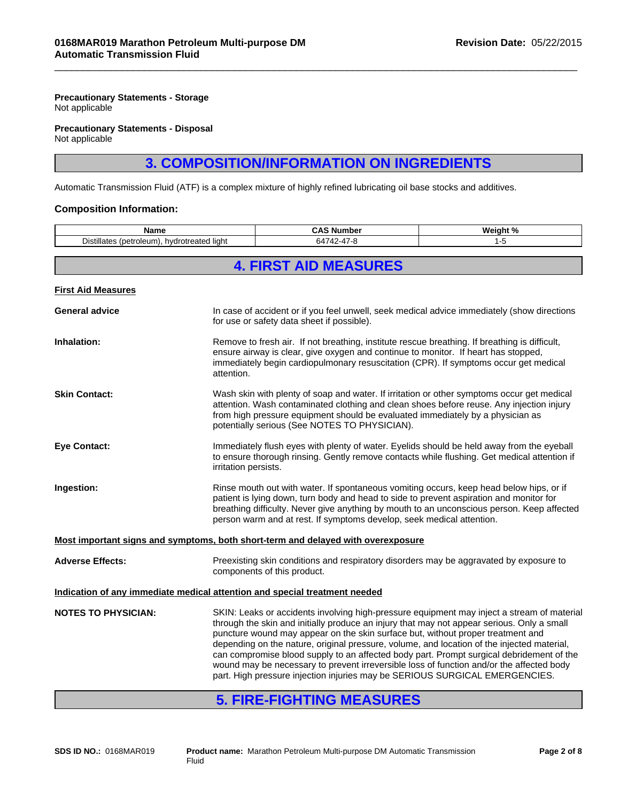# **Precautionary Statements - Storage**

Not applicable

#### **Precautionary Statements - Disposal** Not applicable

# **3. COMPOSITION/INFORMATION ON INGREDIENTS**

 $\overline{\phantom{a}}$  ,  $\overline{\phantom{a}}$  ,  $\overline{\phantom{a}}$  ,  $\overline{\phantom{a}}$  ,  $\overline{\phantom{a}}$  ,  $\overline{\phantom{a}}$  ,  $\overline{\phantom{a}}$  ,  $\overline{\phantom{a}}$  ,  $\overline{\phantom{a}}$  ,  $\overline{\phantom{a}}$  ,  $\overline{\phantom{a}}$  ,  $\overline{\phantom{a}}$  ,  $\overline{\phantom{a}}$  ,  $\overline{\phantom{a}}$  ,  $\overline{\phantom{a}}$  ,  $\overline{\phantom{a}}$ 

Automatic Transmission Fluid (ATF) is a complex mixture of highly refined lubricating oil base stocks and additives.

## **Composition Information:**

| Name<br>Distillates (petroleum), hydrotreated light                        |            | <b>CAS Number</b>                                                                                                                                                                                                                                                                                                                                                                                                                                                                                                                                                                                                                                | Weight % |  |
|----------------------------------------------------------------------------|------------|--------------------------------------------------------------------------------------------------------------------------------------------------------------------------------------------------------------------------------------------------------------------------------------------------------------------------------------------------------------------------------------------------------------------------------------------------------------------------------------------------------------------------------------------------------------------------------------------------------------------------------------------------|----------|--|
|                                                                            |            | 64742-47-8                                                                                                                                                                                                                                                                                                                                                                                                                                                                                                                                                                                                                                       | $1 - 5$  |  |
|                                                                            |            | <b>4. FIRST AID MEASURES</b>                                                                                                                                                                                                                                                                                                                                                                                                                                                                                                                                                                                                                     |          |  |
|                                                                            |            |                                                                                                                                                                                                                                                                                                                                                                                                                                                                                                                                                                                                                                                  |          |  |
| <b>First Aid Measures</b>                                                  |            |                                                                                                                                                                                                                                                                                                                                                                                                                                                                                                                                                                                                                                                  |          |  |
| <b>General advice</b>                                                      |            | In case of accident or if you feel unwell, seek medical advice immediately (show directions<br>for use or safety data sheet if possible).                                                                                                                                                                                                                                                                                                                                                                                                                                                                                                        |          |  |
| Inhalation:                                                                | attention. | Remove to fresh air. If not breathing, institute rescue breathing. If breathing is difficult,<br>ensure airway is clear, give oxygen and continue to monitor. If heart has stopped,<br>immediately begin cardiopulmonary resuscitation (CPR). If symptoms occur get medical                                                                                                                                                                                                                                                                                                                                                                      |          |  |
| <b>Skin Contact:</b>                                                       |            | Wash skin with plenty of soap and water. If irritation or other symptoms occur get medical<br>attention. Wash contaminated clothing and clean shoes before reuse. Any injection injury<br>from high pressure equipment should be evaluated immediately by a physician as<br>potentially serious (See NOTES TO PHYSICIAN).                                                                                                                                                                                                                                                                                                                        |          |  |
| <b>Eye Contact:</b>                                                        |            | Immediately flush eyes with plenty of water. Eyelids should be held away from the eyeball<br>to ensure thorough rinsing. Gently remove contacts while flushing. Get medical attention if<br>irritation persists.                                                                                                                                                                                                                                                                                                                                                                                                                                 |          |  |
| Ingestion:                                                                 |            | Rinse mouth out with water. If spontaneous vomiting occurs, keep head below hips, or if<br>patient is lying down, turn body and head to side to prevent aspiration and monitor for<br>breathing difficulty. Never give anything by mouth to an unconscious person. Keep affected<br>person warm and at rest. If symptoms develop, seek medical attention.                                                                                                                                                                                                                                                                                        |          |  |
|                                                                            |            | Most important signs and symptoms, both short-term and delayed with overexposure                                                                                                                                                                                                                                                                                                                                                                                                                                                                                                                                                                 |          |  |
| <b>Adverse Effects:</b>                                                    |            | Preexisting skin conditions and respiratory disorders may be aggravated by exposure to<br>components of this product.                                                                                                                                                                                                                                                                                                                                                                                                                                                                                                                            |          |  |
| Indication of any immediate medical attention and special treatment needed |            |                                                                                                                                                                                                                                                                                                                                                                                                                                                                                                                                                                                                                                                  |          |  |
| <b>NOTES TO PHYSICIAN:</b>                                                 |            | SKIN: Leaks or accidents involving high-pressure equipment may inject a stream of material<br>through the skin and initially produce an injury that may not appear serious. Only a small<br>puncture wound may appear on the skin surface but, without proper treatment and<br>depending on the nature, original pressure, volume, and location of the injected material,<br>can compromise blood supply to an affected body part. Prompt surgical debridement of the<br>wound may be necessary to prevent irreversible loss of function and/or the affected body<br>part. High pressure injection injuries may be SERIOUS SURGICAL EMERGENCIES. |          |  |
|                                                                            |            |                                                                                                                                                                                                                                                                                                                                                                                                                                                                                                                                                                                                                                                  |          |  |

# **5. FIRE-FIGHTING MEASURES**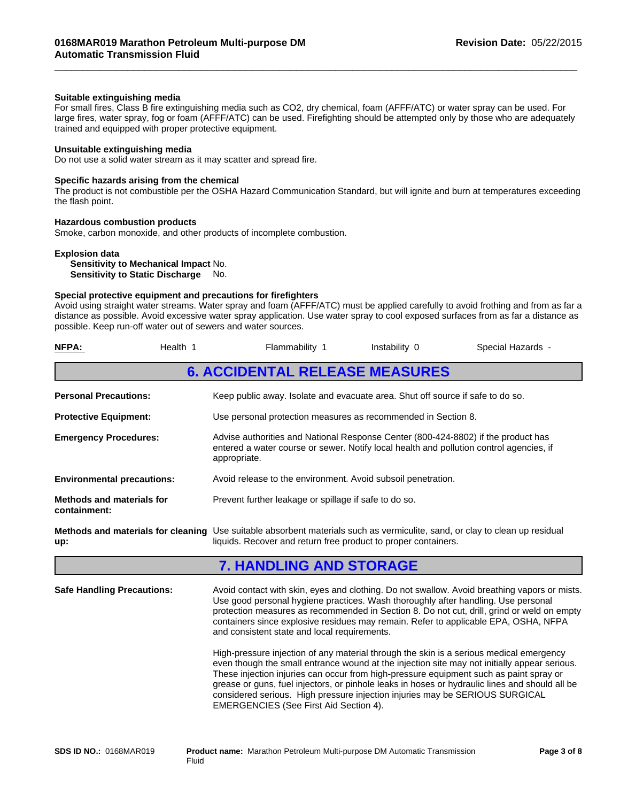## **Suitable extinguishing media**

For small fires, Class B fire extinguishing media such as CO2, dry chemical, foam (AFFF/ATC) or water spray can be used. For large fires, water spray, fog or foam (AFFF/ATC) can be used. Firefighting should be attempted only by those who are adequately trained and equipped with proper protective equipment.

 $\overline{\phantom{a}}$  ,  $\overline{\phantom{a}}$  ,  $\overline{\phantom{a}}$  ,  $\overline{\phantom{a}}$  ,  $\overline{\phantom{a}}$  ,  $\overline{\phantom{a}}$  ,  $\overline{\phantom{a}}$  ,  $\overline{\phantom{a}}$  ,  $\overline{\phantom{a}}$  ,  $\overline{\phantom{a}}$  ,  $\overline{\phantom{a}}$  ,  $\overline{\phantom{a}}$  ,  $\overline{\phantom{a}}$  ,  $\overline{\phantom{a}}$  ,  $\overline{\phantom{a}}$  ,  $\overline{\phantom{a}}$ 

## **Unsuitable extinguishing media**

Do not use a solid water stream as it may scatter and spread fire.

#### **Specific hazards arising from the chemical**

The product is not combustible per the OSHA Hazard Communication Standard, but will ignite and burn at temperatures exceeding the flash point.

## **Hazardous combustion products**

Smoke, carbon monoxide, and other products of incomplete combustion.

#### **Explosion data**

**Sensitivity to Mechanical Impact** No. **Sensitivity to Static Discharge** No.

# **Special protective equipment and precautions for firefighters**

Avoid using straight water streams. Water spray and foam (AFFF/ATC) must be applied carefully to avoid frothing and from as far a distance as possible. Avoid excessive water spray application. Use water spray to cool exposed surfaces from as far a distance as possible. Keep run-off water out of sewers and water sources.

| NFPA:<br>Health 1                                                                                                                                                                                    |  | Flammability 1                                                                                                                                                                                                                                                     | Instability 0 | Special Hazards -                                                                                                                                                                                                                                                                                                                                                                                                                                                                                                                                                                                                                                                        |  |  |
|------------------------------------------------------------------------------------------------------------------------------------------------------------------------------------------------------|--|--------------------------------------------------------------------------------------------------------------------------------------------------------------------------------------------------------------------------------------------------------------------|---------------|--------------------------------------------------------------------------------------------------------------------------------------------------------------------------------------------------------------------------------------------------------------------------------------------------------------------------------------------------------------------------------------------------------------------------------------------------------------------------------------------------------------------------------------------------------------------------------------------------------------------------------------------------------------------------|--|--|
|                                                                                                                                                                                                      |  | <b>6. ACCIDENTAL RELEASE MEASURES</b>                                                                                                                                                                                                                              |               |                                                                                                                                                                                                                                                                                                                                                                                                                                                                                                                                                                                                                                                                          |  |  |
| <b>Personal Precautions:</b>                                                                                                                                                                         |  | Keep public away. Isolate and evacuate area. Shut off source if safe to do so.                                                                                                                                                                                     |               |                                                                                                                                                                                                                                                                                                                                                                                                                                                                                                                                                                                                                                                                          |  |  |
| <b>Protective Equipment:</b>                                                                                                                                                                         |  | Use personal protection measures as recommended in Section 8.                                                                                                                                                                                                      |               |                                                                                                                                                                                                                                                                                                                                                                                                                                                                                                                                                                                                                                                                          |  |  |
| <b>Emergency Procedures:</b>                                                                                                                                                                         |  | Advise authorities and National Response Center (800-424-8802) if the product has<br>entered a water course or sewer. Notify local health and pollution control agencies, if<br>appropriate.                                                                       |               |                                                                                                                                                                                                                                                                                                                                                                                                                                                                                                                                                                                                                                                                          |  |  |
| <b>Environmental precautions:</b>                                                                                                                                                                    |  | Avoid release to the environment. Avoid subsoil penetration.                                                                                                                                                                                                       |               |                                                                                                                                                                                                                                                                                                                                                                                                                                                                                                                                                                                                                                                                          |  |  |
| <b>Methods and materials for</b><br>containment:                                                                                                                                                     |  | Prevent further leakage or spillage if safe to do so.                                                                                                                                                                                                              |               |                                                                                                                                                                                                                                                                                                                                                                                                                                                                                                                                                                                                                                                                          |  |  |
| Methods and materials for cleaning Use suitable absorbent materials such as vermiculite, sand, or clay to clean up residual<br>liquids. Recover and return free product to proper containers.<br>up: |  |                                                                                                                                                                                                                                                                    |               |                                                                                                                                                                                                                                                                                                                                                                                                                                                                                                                                                                                                                                                                          |  |  |
|                                                                                                                                                                                                      |  | <b>7. HANDLING AND STORAGE</b>                                                                                                                                                                                                                                     |               |                                                                                                                                                                                                                                                                                                                                                                                                                                                                                                                                                                                                                                                                          |  |  |
| <b>Safe Handling Precautions:</b>                                                                                                                                                                    |  | Use good personal hygiene practices. Wash thoroughly after handling. Use personal<br>and consistent state and local requirements.<br>considered serious. High pressure injection injuries may be SERIOUS SURGICAL<br><b>EMERGENCIES (See First Aid Section 4).</b> |               | Avoid contact with skin, eyes and clothing. Do not swallow. Avoid breathing vapors or mists.<br>protection measures as recommended in Section 8. Do not cut, drill, grind or weld on empty<br>containers since explosive residues may remain. Refer to applicable EPA, OSHA, NFPA<br>High-pressure injection of any material through the skin is a serious medical emergency<br>even though the small entrance wound at the injection site may not initially appear serious.<br>These injection injuries can occur from high-pressure equipment such as paint spray or<br>grease or guns, fuel injectors, or pinhole leaks in hoses or hydraulic lines and should all be |  |  |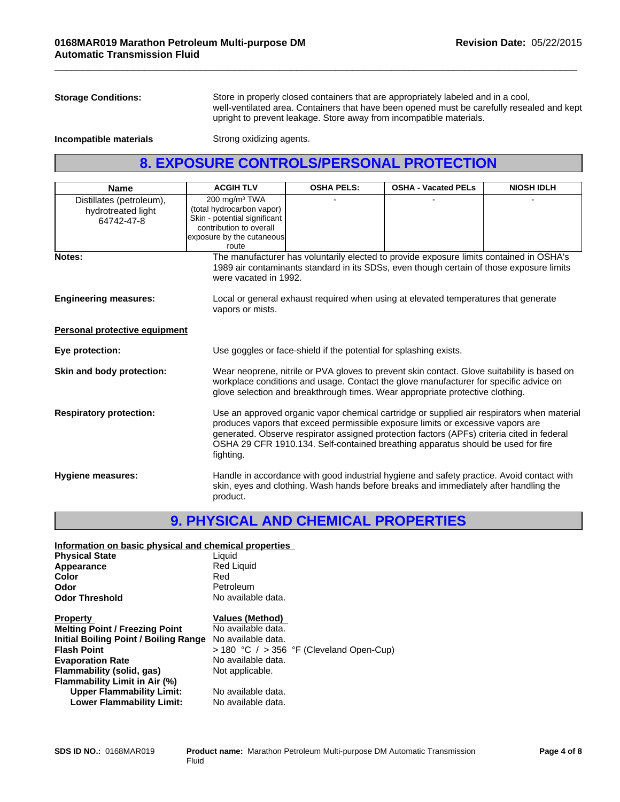**Storage Conditions:** Store in properly closed containers that are appropriately labeled and in a cool, well-ventilated area. Containers that have been opened must be carefully resealed and kept upright to prevent leakage. Store away from incompatible materials.

 $\overline{\phantom{a}}$  ,  $\overline{\phantom{a}}$  ,  $\overline{\phantom{a}}$  ,  $\overline{\phantom{a}}$  ,  $\overline{\phantom{a}}$  ,  $\overline{\phantom{a}}$  ,  $\overline{\phantom{a}}$  ,  $\overline{\phantom{a}}$  ,  $\overline{\phantom{a}}$  ,  $\overline{\phantom{a}}$  ,  $\overline{\phantom{a}}$  ,  $\overline{\phantom{a}}$  ,  $\overline{\phantom{a}}$  ,  $\overline{\phantom{a}}$  ,  $\overline{\phantom{a}}$  ,  $\overline{\phantom{a}}$ 

**Incompatible materials** Strong oxidizing agents.

# **8. EXPOSURE CONTROLS/PERSONAL PROTECTION**

| <b>Name</b>                                                  | <b>ACGIH TLV</b>                                                                                                                                        | <b>OSHA PELS:</b>                                                                                                                                                                                                                                                                                                                                               | <b>OSHA - Vacated PELs</b>                                                                                                                                                          | <b>NIOSH IDLH</b> |  |
|--------------------------------------------------------------|---------------------------------------------------------------------------------------------------------------------------------------------------------|-----------------------------------------------------------------------------------------------------------------------------------------------------------------------------------------------------------------------------------------------------------------------------------------------------------------------------------------------------------------|-------------------------------------------------------------------------------------------------------------------------------------------------------------------------------------|-------------------|--|
| Distillates (petroleum),<br>hydrotreated light<br>64742-47-8 | 200 mg/m <sup>3</sup> TWA<br>(total hydrocarbon vapor)<br>Skin - potential significant<br>contribution to overall<br>exposure by the cutaneous<br>route |                                                                                                                                                                                                                                                                                                                                                                 |                                                                                                                                                                                     |                   |  |
| Notes:                                                       | were vacated in 1992.                                                                                                                                   |                                                                                                                                                                                                                                                                                                                                                                 | The manufacturer has voluntarily elected to provide exposure limits contained in OSHA's<br>1989 air contaminants standard in its SDSs, even though certain of those exposure limits |                   |  |
| <b>Engineering measures:</b>                                 | vapors or mists.                                                                                                                                        | Local or general exhaust required when using at elevated temperatures that generate                                                                                                                                                                                                                                                                             |                                                                                                                                                                                     |                   |  |
| Personal protective equipment                                |                                                                                                                                                         |                                                                                                                                                                                                                                                                                                                                                                 |                                                                                                                                                                                     |                   |  |
| Eye protection:                                              |                                                                                                                                                         | Use goggles or face-shield if the potential for splashing exists.                                                                                                                                                                                                                                                                                               |                                                                                                                                                                                     |                   |  |
| Skin and body protection:                                    |                                                                                                                                                         | Wear neoprene, nitrile or PVA gloves to prevent skin contact. Glove suitability is based on<br>workplace conditions and usage. Contact the glove manufacturer for specific advice on<br>glove selection and breakthrough times. Wear appropriate protective clothing.                                                                                           |                                                                                                                                                                                     |                   |  |
| <b>Respiratory protection:</b>                               | fighting.                                                                                                                                               | Use an approved organic vapor chemical cartridge or supplied air respirators when material<br>produces vapors that exceed permissible exposure limits or excessive vapors are<br>generated. Observe respirator assigned protection factors (APFs) criteria cited in federal<br>OSHA 29 CFR 1910.134. Self-contained breathing apparatus should be used for fire |                                                                                                                                                                                     |                   |  |
| <b>Hygiene measures:</b>                                     | product.                                                                                                                                                | Handle in accordance with good industrial hygiene and safety practice. Avoid contact with<br>skin, eyes and clothing. Wash hands before breaks and immediately after handling the                                                                                                                                                                               |                                                                                                                                                                                     |                   |  |

# **9. PHYSICAL AND CHEMICAL PROPERTIES**

| Information on basic physical and chemical properties |                                                |  |  |  |
|-------------------------------------------------------|------------------------------------------------|--|--|--|
| <b>Physical State</b>                                 | Liquid                                         |  |  |  |
| Appearance                                            | <b>Red Liquid</b>                              |  |  |  |
| Color                                                 | Red                                            |  |  |  |
| Odor                                                  | Petroleum                                      |  |  |  |
| <b>Odor Threshold</b>                                 | No available data.                             |  |  |  |
| <b>Property</b>                                       | <b>Values (Method)</b>                         |  |  |  |
| <b>Melting Point / Freezing Point</b>                 | No available data.                             |  |  |  |
| Initial Boiling Point / Boiling Range                 | No available data.                             |  |  |  |
| <b>Flash Point</b>                                    | $>$ 180 °C $/$ $>$ 356 °F (Cleveland Open-Cup) |  |  |  |
| <b>Evaporation Rate</b>                               | No available data.                             |  |  |  |
| Flammability (solid, gas)                             | Not applicable.                                |  |  |  |
| Flammability Limit in Air (%)                         |                                                |  |  |  |
| <b>Upper Flammability Limit:</b>                      | No available data.                             |  |  |  |
| <b>Lower Flammability Limit:</b>                      | No available data.                             |  |  |  |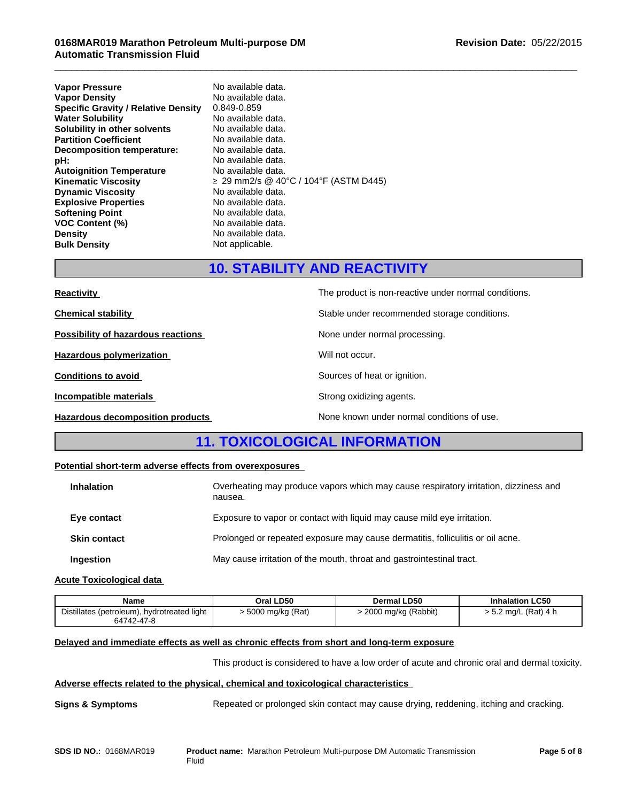# **0168MAR019 Marathon Petroleum Multi-purpose DM Automatic Transmission Fluid**

| <b>Vapor Pressure</b>                      | No available data.                    |
|--------------------------------------------|---------------------------------------|
| <b>Vapor Density</b>                       | No available data.                    |
| <b>Specific Gravity / Relative Density</b> | 0.849-0.859                           |
| <b>Water Solubility</b>                    | No available data.                    |
| Solubility in other solvents               | No available data.                    |
| <b>Partition Coefficient</b>               | No available data.                    |
| Decomposition temperature:                 | No available data.                    |
| pH:                                        | No available data.                    |
| <b>Autoignition Temperature</b>            | No available data.                    |
| <b>Kinematic Viscosity</b>                 | ≥ 29 mm2/s @ 40°C / 104°F (ASTM D445) |
| <b>Dynamic Viscosity</b>                   | No available data.                    |
| <b>Explosive Properties</b>                | No available data.                    |
| <b>Softening Point</b>                     | No available data.                    |
| <b>VOC Content (%)</b>                     | No available data.                    |
| <b>Density</b>                             | No available data.                    |
| <b>Bulk Density</b>                        | Not applicable.                       |

# **10. STABILITY AND REACTIVITY**

 $\overline{\phantom{a}}$  ,  $\overline{\phantom{a}}$  ,  $\overline{\phantom{a}}$  ,  $\overline{\phantom{a}}$  ,  $\overline{\phantom{a}}$  ,  $\overline{\phantom{a}}$  ,  $\overline{\phantom{a}}$  ,  $\overline{\phantom{a}}$  ,  $\overline{\phantom{a}}$  ,  $\overline{\phantom{a}}$  ,  $\overline{\phantom{a}}$  ,  $\overline{\phantom{a}}$  ,  $\overline{\phantom{a}}$  ,  $\overline{\phantom{a}}$  ,  $\overline{\phantom{a}}$  ,  $\overline{\phantom{a}}$ 

| <b>Reactivity</b>                       | The product is non-reactive under normal conditions. |
|-----------------------------------------|------------------------------------------------------|
| <b>Chemical stability</b>               | Stable under recommended storage conditions.         |
| Possibility of hazardous reactions      | None under normal processing.                        |
| Hazardous polymerization                | Will not occur.                                      |
| <b>Conditions to avoid</b>              | Sources of heat or ignition.                         |
| Incompatible materials                  | Strong oxidizing agents.                             |
| <b>Hazardous decomposition products</b> | None known under normal conditions of use.           |

# **11. TOXICOLOGICAL INFORMATION**

# **Potential short-term adverse effects from overexposures**

| <b>Inhalation</b>   | Overheating may produce vapors which may cause respiratory irritation, dizziness and<br>nausea. |
|---------------------|-------------------------------------------------------------------------------------------------|
| Eye contact         | Exposure to vapor or contact with liquid may cause mild eye irritation.                         |
| <b>Skin contact</b> | Prolonged or repeated exposure may cause dermatitis, folliculitis or oil acne.                  |
| Ingestion           | May cause irritation of the mouth, throat and gastrointestinal tract.                           |

## **Acute Toxicological data**

| Name                                                      | Oral LD50        | Dermal LD50           | <b>Inhalation LC50</b> |
|-----------------------------------------------------------|------------------|-----------------------|------------------------|
| Distillates (petroleum), hydrotreated light<br>64742-47-8 | 5000 mg/kg (Rat) | · 2000 mg/kg (Rabbit) | > 5.2 mg/L (Rat) 4 h   |

# **Delayed and immediate effects as well as chronic effects from short and long-term exposure**

This product is considered to have a low order of acute and chronic oral and dermal toxicity.

## **Adverse effects related to the physical, chemical and toxicological characteristics**

**Signs & Symptoms** Repeated or prolonged skin contact may cause drying, reddening, itching and cracking.

**SDS ID NO.:** 0168MAR019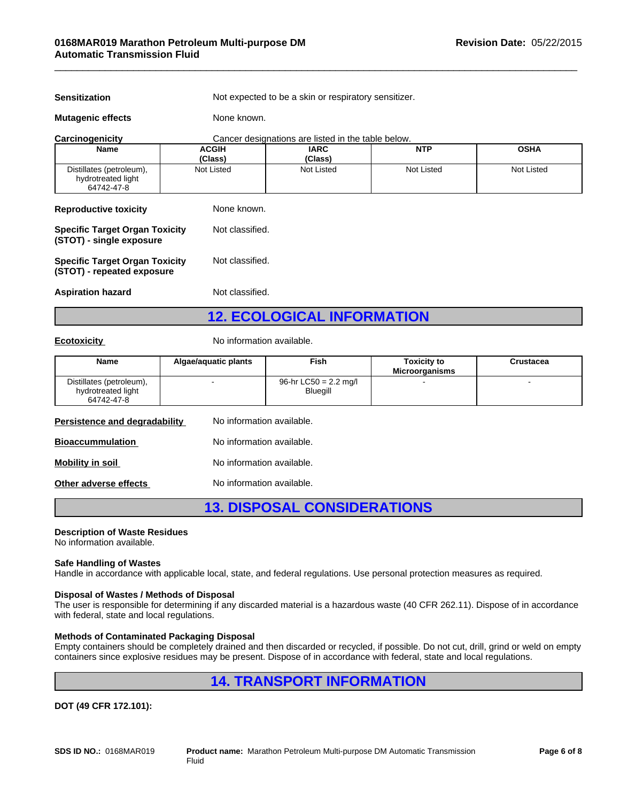**Sensitization** Not expected to be a skin or respiratory sensitizer.

 $\overline{\phantom{a}}$  ,  $\overline{\phantom{a}}$  ,  $\overline{\phantom{a}}$  ,  $\overline{\phantom{a}}$  ,  $\overline{\phantom{a}}$  ,  $\overline{\phantom{a}}$  ,  $\overline{\phantom{a}}$  ,  $\overline{\phantom{a}}$  ,  $\overline{\phantom{a}}$  ,  $\overline{\phantom{a}}$  ,  $\overline{\phantom{a}}$  ,  $\overline{\phantom{a}}$  ,  $\overline{\phantom{a}}$  ,  $\overline{\phantom{a}}$  ,  $\overline{\phantom{a}}$  ,  $\overline{\phantom{a}}$ 

**Mutagenic effects** None known.

| Carcinogenicity                                                     |                         | Cancer designations are listed in the table below. |            |             |
|---------------------------------------------------------------------|-------------------------|----------------------------------------------------|------------|-------------|
| <b>Name</b>                                                         | <b>ACGIH</b><br>(Class) | <b>IARC</b><br>(Class)                             | <b>NTP</b> | <b>OSHA</b> |
| Distillates (petroleum),<br>hydrotreated light<br>64742-47-8        | Not Listed              | Not Listed                                         | Not Listed | Not Listed  |
| <b>Reproductive toxicity</b>                                        | None known.             |                                                    |            |             |
| <b>Specific Target Organ Toxicity</b><br>(STOT) - single exposure   | Not classified.         |                                                    |            |             |
| <b>Specific Target Organ Toxicity</b><br>(STOT) - repeated exposure | Not classified.         |                                                    |            |             |
| <b>Aspiration hazard</b>                                            | Not classified.         |                                                    |            |             |

**12. ECOLOGICAL INFORMATION**

**Ecotoxicity No information available.** 

| <b>Name</b>                                                  | Algae/aquatic plants      | Fish                                        | <b>Toxicity to</b><br><b>Microorganisms</b> | <b>Crustacea</b> |
|--------------------------------------------------------------|---------------------------|---------------------------------------------|---------------------------------------------|------------------|
| Distillates (petroleum),<br>hydrotreated light<br>64742-47-8 |                           | 96-hr LC50 = $2.2 \text{ ma/l}$<br>Bluegill |                                             |                  |
| Persistence and degradability                                | No information available. |                                             |                                             |                  |

| <b>Bioaccummulation</b> | No information available. |
|-------------------------|---------------------------|
| Mobility in soil        | No information available. |
| Other adverse effects   | No information available. |

**13. DISPOSAL CONSIDERATIONS**

#### **Description of Waste Residues**

No information available.

## **Safe Handling of Wastes**

Handle in accordance with applicable local, state, and federal regulations. Use personal protection measures as required.

## **Disposal of Wastes / Methods of Disposal**

The user is responsible for determining if any discarded material is a hazardous waste (40 CFR 262.11). Dispose of in accordance with federal, state and local regulations.

#### **Methods of Contaminated Packaging Disposal**

Empty containers should be completely drained and then discarded or recycled, if possible. Do not cut, drill, grind or weld on empty containers since explosive residues may be present. Dispose of in accordance with federal, state and local regulations.

# **14. TRANSPORT INFORMATION**

**DOT (49 CFR 172.101):**

**SDS ID NO.:** 0168MAR019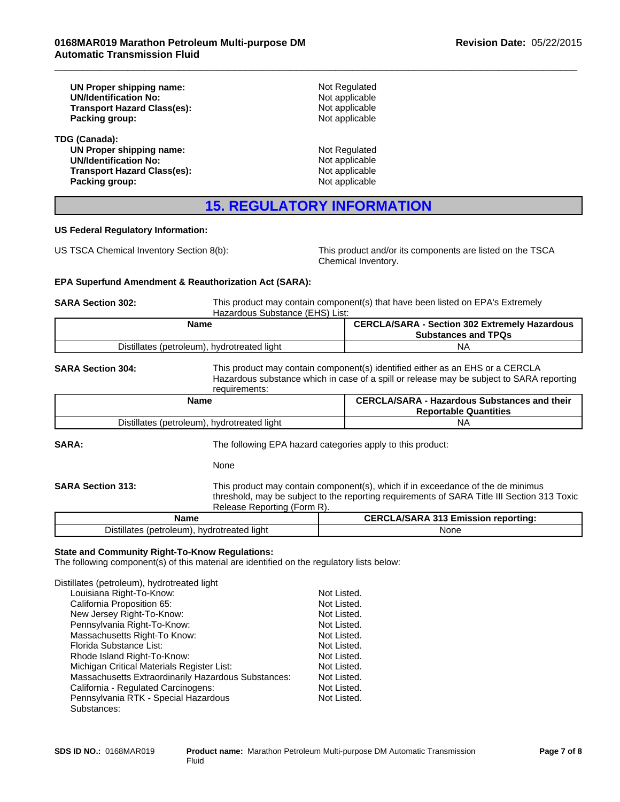| UN Proper shipping name:           | Not Regulated  |  |
|------------------------------------|----------------|--|
| <b>UN/Identification No:</b>       | Not applicable |  |
| <b>Transport Hazard Class(es):</b> | Not applicable |  |
| Packing group:                     | Not applicable |  |
| TDG (Canada):                      |                |  |
| UN Proper shipping name:           | Not Regulated  |  |
| <b>UN/Identification No:</b>       | Not applicable |  |
| <b>Transport Hazard Class(es):</b> | Not applicable |  |
| Packing group:                     | Not applicable |  |

# **15. REGULATORY INFORMATION**

#### **US Federal Regulatory Information:**

US TSCA Chemical Inventory Section 8(b): This product and/or its components are listed on the TSCA Chemical Inventory.

## **EPA Superfund Amendment & Reauthorization Act (SARA):**

**SARA Section 302:** This product may contain component(s) that have been listed on EPA's Extremely Hazardous Substance (EHS) List:

 $\overline{\phantom{a}}$  ,  $\overline{\phantom{a}}$  ,  $\overline{\phantom{a}}$  ,  $\overline{\phantom{a}}$  ,  $\overline{\phantom{a}}$  ,  $\overline{\phantom{a}}$  ,  $\overline{\phantom{a}}$  ,  $\overline{\phantom{a}}$  ,  $\overline{\phantom{a}}$  ,  $\overline{\phantom{a}}$  ,  $\overline{\phantom{a}}$  ,  $\overline{\phantom{a}}$  ,  $\overline{\phantom{a}}$  ,  $\overline{\phantom{a}}$  ,  $\overline{\phantom{a}}$  ,  $\overline{\phantom{a}}$ 

| Name                                                                        | <b>Section 302 Extremely</b><br>CEDC'<br><b>A/CADA</b><br><sup>.</sup> Hazardous<br>эΓ<br><b>Substances and TPQs</b> |
|-----------------------------------------------------------------------------|----------------------------------------------------------------------------------------------------------------------|
| .<br><b>Distillates</b><br>drotreated<br>, oleum<br>hw.<br>∵liaht.<br>petr. | NÆ                                                                                                                   |

**SARA Section 304:** This product may contain component(s) identified either as an EHS or a CERCLA Hazardous substance which in case of a spill or release may be subject to SARA reporting requirements:

| Name                                        | <b>CERCLA/SARA - Hazardous Substances and their</b><br><b>Reportable Quantities</b> |
|---------------------------------------------|-------------------------------------------------------------------------------------|
| Distillates (petroleum), hydrotreated light | N۵                                                                                  |

**SARA:** The following EPA hazard categories apply to this product:

None

**SARA Section 313:** This product may contain component(s), which if in exceedance of the de minimus

threshold, may be subject to the reporting requirements of SARA Title III Section 313 Toxic Release Reporting (Form R). **Name CERCLA/SARA 313 Emission reporting:**

| наше                                                                | <b>ULINULATUATIVE UTILISSION TEDULINIUS.</b> |
|---------------------------------------------------------------------|----------------------------------------------|
| $\cdots$<br>(petroleum)<br>Distillates ∶<br>hydrotreated<br>' liaht | None                                         |
|                                                                     |                                              |

# **State and Community Right-To-Know Regulations:**

The following component(s) of this material are identified on the regulatory lists below:

Distillates (petroleum), hydrotreated light

| Louisiana Right-To-Know:                            | Not Listed. |
|-----------------------------------------------------|-------------|
| California Proposition 65:                          | Not Listed. |
| New Jersey Right-To-Know:                           | Not Listed. |
| Pennsylvania Right-To-Know:                         | Not Listed. |
| Massachusetts Right-To Know:                        | Not Listed. |
| Florida Substance List:                             | Not Listed. |
| Rhode Island Right-To-Know:                         | Not Listed. |
| Michigan Critical Materials Register List:          | Not Listed. |
| Massachusetts Extraordinarily Hazardous Substances: | Not Listed. |
| California - Regulated Carcinogens:                 | Not Listed. |
| Pennsylvania RTK - Special Hazardous                | Not Listed. |
| Substances:                                         |             |